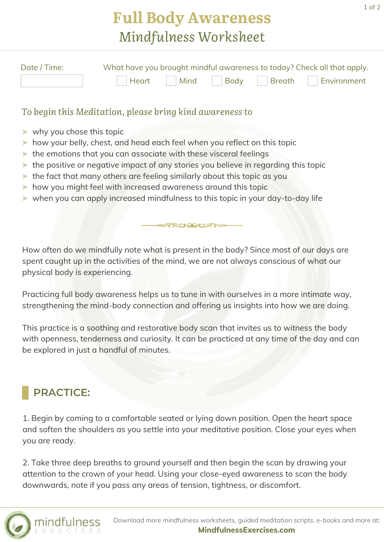## **Full Body Awareness** *Mindfulness Worksheet*

| Date / Time: | What have you brought mindful awareness to today? Check all that apply. |  |  |  |                                    |
|--------------|-------------------------------------------------------------------------|--|--|--|------------------------------------|
|              |                                                                         |  |  |  | Heart Mind Body Breath Environment |

## *To begin this Meditation, please bring kind awareness to*

- ➤ why you chose this topic
- ➤ how your belly, chest, and head each feel when you reflect on this topic
- ➤ the emotions that you can associate with these visceral feelings
- ➤ the positive or negative impact of any stories you believe in regarding this topic
- ➤ the fact that many others are feeling similarly about this topic as you
- ➤ how you might feel with increased awareness around this topic
- ➤ when you can apply increased mindfulness to this topic in your day-to-day life

How often do we mindfully note what is present in the body? Since most of our days are spent caught up in the activities of the mind, we are not always conscious of what our physical body is experiencing.

ANAUTH

Practicing full body awareness helps us to tune in with ourselves in a more intimate way, strengthening the mind-body connection and offering us insights into how we are doing.

This practice is a soothing and restorative body scan that invites us to witness the body with openness, tenderness and curiosity. It can be practiced at any time of the day and can be explored in just a handful of minutes.

## **PRACTICE:**

1. Begin by coming to a comfortable seated or lying down position. Open the heart space and soften the shoulders as you settle into your meditative position. Close your eyes when you are ready.

2. Take three deep breaths to ground yourself and then begin the scan by drawing your attention to the crown of your head. Using your close-eyed awareness to scan the body downwards, note if you pass any areas of tension, tightness, or discomfort.